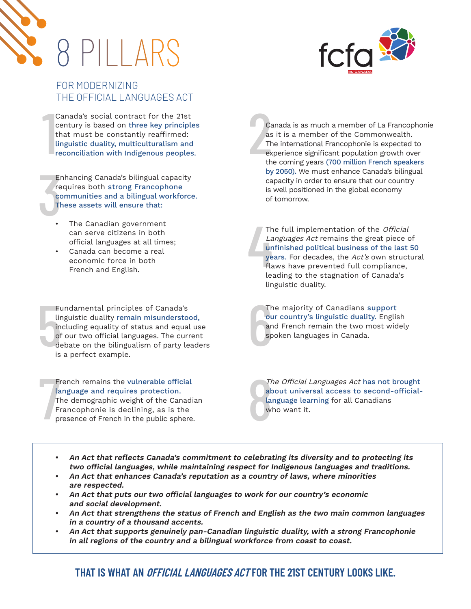



# FOR MODERNIZING THE OFFICIAL LANGUAGES ACT

 $\begin{array}{c}\n1 \\
1 \\
1 \\
1\n\end{array}$ Canada's social contract for the 21st century is based on three key principles that must be constantly reaffirmed: linguistic duality, multiculturalism and reconciliation with Indigenous peoples.

Er<br>
re<br>
cc<br>
Th<br>
. Enhancing Canada's bilingual capacity requires both strong Francophone communities and a bilingual workforce. These assets will ensure that:

- The Canadian government can serve citizens in both official languages at all times;
- Canada can become a real economic force in both French and English.

Fu<br>
lin<br>
in<br>
of<br>
de<br>
is Fundamental principles of Canada's linguistic duality remain misunderstood, including equality of status and equal use of our two official languages. The current debate on the bilingualism of party leaders is a perfect example.

Fi<br>T<br>T<br>Fi<br>pl French remains the vulnerable official language and requires protection. The demographic weight of the Canadian Francophonie is declining, as is the presence of French in the public sphere.

2 Canada is as much a member of La Francophonie as it is a member of the Commonwealth. The international Francophonie is expected to experience significant population growth over the coming years (700 million French speakers by 2050). We must enhance Canada's bilingual capacity in order to ensure that our country is well positioned in the global economy of tomorrow.

4 The full implementation of the Official Languages Act remains the great piece of unfinished political business of the last 50 years. For decades, the Act's own structural flaws have prevented full compliance, leading to the stagnation of Canada's linguistic duality.

The output<br>are are the special of the special set The majority of Canadians support our country's linguistic duality. English and French remain the two most widely spoken languages in Canada.

8 The Official Languages Act has not brought about universal access to second-officiallanguage learning for all Canadians who want it.

- **• An Act that reflects Canada's commitment to celebrating its diversity and to protecting its two official languages, while maintaining respect for Indigenous languages and traditions.**
- **• An Act that enhances Canada's reputation as a country of laws, where minorities are respected.**
- **• An Act that puts our two official languages to work for our country's economic and social development.**
- **• An Act that strengthens the status of French and English as the two main common languages in a country of a thousand accents.**
- **• An Act that supports genuinely pan-Canadian linguistic duality, with a strong Francophonie in all regions of the country and a bilingual workforce from coast to coast.**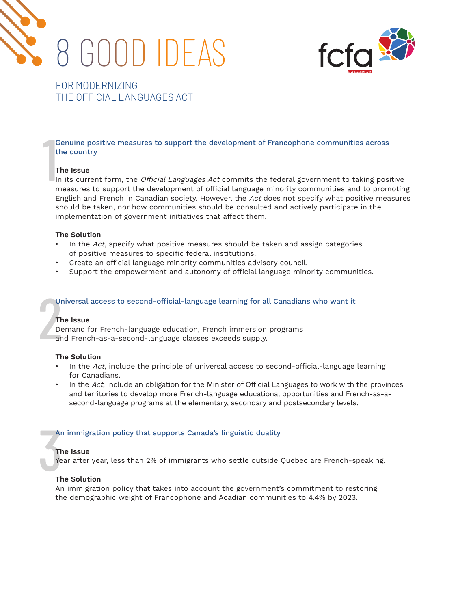



# FOR MODERNIZING THE OFFICIAL LANGUAGES ACT

 $\begin{array}{c}\n1 \\
1 \\
1\n\end{array}$ Genuine positive measures to support the development of Francophone communities across the country

#### **The Issue**

In its current form, the *Official Languages Act* commits the federal government to taking positive measures to support the development of official language minority communities and to promoting English and French in Canadian society. However, the Act does not specify what positive measures should be taken, nor how communities should be consulted and actively participate in the implementation of government initiatives that affect them.

#### **The Solution**

- In the Act, specify what positive measures should be taken and assign categories of positive measures to specific federal institutions.
- Create an official language minority communities advisory council.
- Support the empowerment and autonomy of official language minority communities.

#### Universal access to second-official-language learning for all Canadians who want it

#### **The Issue**

The De Demand for French-language education, French immersion programs and French-as-a-second-language classes exceeds supply.

#### **The Solution**

- In the  $Act$ , include the principle of universal access to second-official-language learning for Canadians.
- In the  $Act$ , include an obligation for the Minister of Official Languages to work with the provinces and territories to develop more French-language educational opportunities and French-as-asecond-language programs at the elementary, secondary and postsecondary levels.

# Ar<br>The Year<br>The The The The The Theorem An immigration policy that supports Canada's linguistic duality

#### **The Issue**

Year after year, less than 2% of immigrants who settle outside Quebec are French-speaking.

#### **The Solution**

An immigration policy that takes into account the government's commitment to restoring the demographic weight of Francophone and Acadian communities to 4.4% by 2023.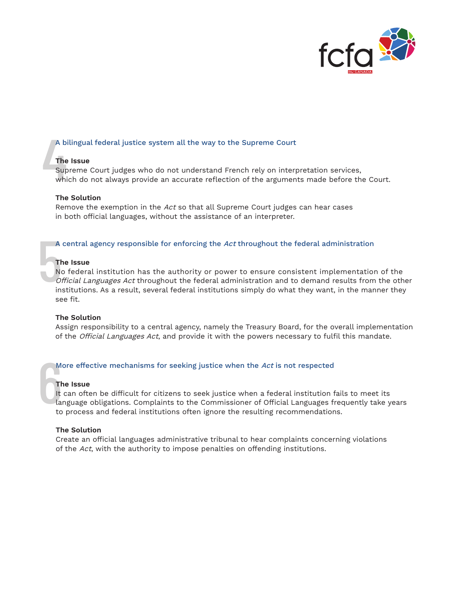

# A bilingual federal justice system all the way to the Supreme Court

# **The Issue**

A b<br>The<br>Sup<br>whi Supreme Court judges who do not understand French rely on interpretation services, which do not always provide an accurate reflection of the arguments made before the Court.

#### **The Solution**

Remove the exemption in the Act so that all Supreme Court judges can hear cases in both official languages, without the assistance of an interpreter.

#### A central agency responsible for enforcing the Act throughout the federal administration

# **The Issue**

 $\begin{array}{c}\nA \\
T\n\end{array}$ No federal institution has the authority or power to ensure consistent implementation of the Official Languages Act throughout the federal administration and to demand results from the other institutions. As a result, several federal institutions simply do what they want, in the manner they see fit.

#### **The Solution**

Assign responsibility to a central agency, namely the Treasury Board, for the overall implementation of the Official Languages Act, and provide it with the powers necessary to fulfil this mandate.

# More effective mechanisms for seeking justice when the Act is not respected

#### **The Issue**

M<br>Th<br>It<br>It<br>It<br>It It can often be difficult for citizens to seek justice when a federal institution fails to meet its language obligations. Complaints to the Commissioner of Official Languages frequently take years to process and federal institutions often ignore the resulting recommendations.

# **The Solution**

Create an official languages administrative tribunal to hear complaints concerning violations of the Act, with the authority to impose penalties on offending institutions.